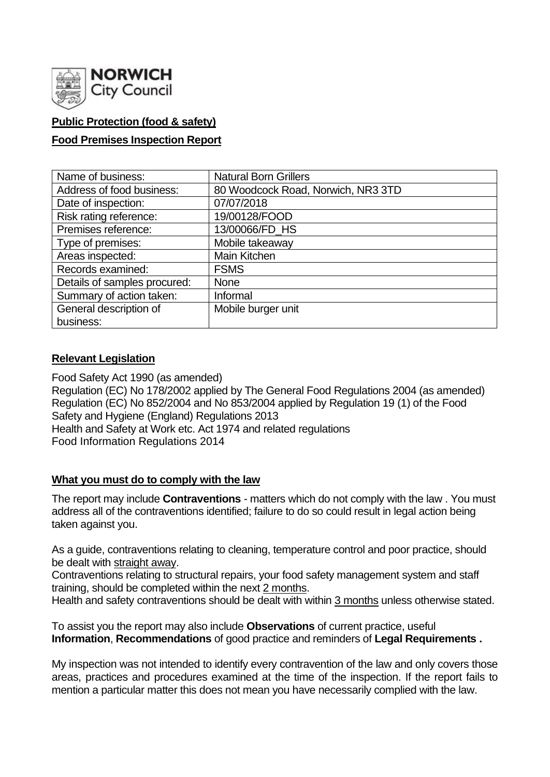

# **Public Protection (food & safety)**

## **Food Premises Inspection Report**

| Name of business:            | <b>Natural Born Grillers</b>       |  |  |  |  |  |
|------------------------------|------------------------------------|--|--|--|--|--|
| Address of food business:    | 80 Woodcock Road, Norwich, NR3 3TD |  |  |  |  |  |
| Date of inspection:          | 07/07/2018                         |  |  |  |  |  |
| Risk rating reference:       | 19/00128/FOOD                      |  |  |  |  |  |
| Premises reference:          | 13/00066/FD HS                     |  |  |  |  |  |
| Type of premises:            | Mobile takeaway                    |  |  |  |  |  |
| Areas inspected:             | Main Kitchen                       |  |  |  |  |  |
| Records examined:            | <b>FSMS</b>                        |  |  |  |  |  |
| Details of samples procured: | <b>None</b>                        |  |  |  |  |  |
| Summary of action taken:     | Informal                           |  |  |  |  |  |
| General description of       | Mobile burger unit                 |  |  |  |  |  |
| business:                    |                                    |  |  |  |  |  |

## **Relevant Legislation**

Food Safety Act 1990 (as amended) Regulation (EC) No 178/2002 applied by The General Food Regulations 2004 (as amended) Regulation (EC) No 852/2004 and No 853/2004 applied by Regulation 19 (1) of the Food Safety and Hygiene (England) Regulations 2013 Health and Safety at Work etc. Act 1974 and related regulations Food Information Regulations 2014

### **What you must do to comply with the law**

The report may include **Contraventions** - matters which do not comply with the law . You must address all of the contraventions identified; failure to do so could result in legal action being taken against you.

As a guide, contraventions relating to cleaning, temperature control and poor practice, should be dealt with straight away.

Contraventions relating to structural repairs, your food safety management system and staff training, should be completed within the next 2 months.

Health and safety contraventions should be dealt with within 3 months unless otherwise stated.

To assist you the report may also include **Observations** of current practice, useful **Information**, **Recommendations** of good practice and reminders of **Legal Requirements .**

My inspection was not intended to identify every contravention of the law and only covers those areas, practices and procedures examined at the time of the inspection. If the report fails to mention a particular matter this does not mean you have necessarily complied with the law.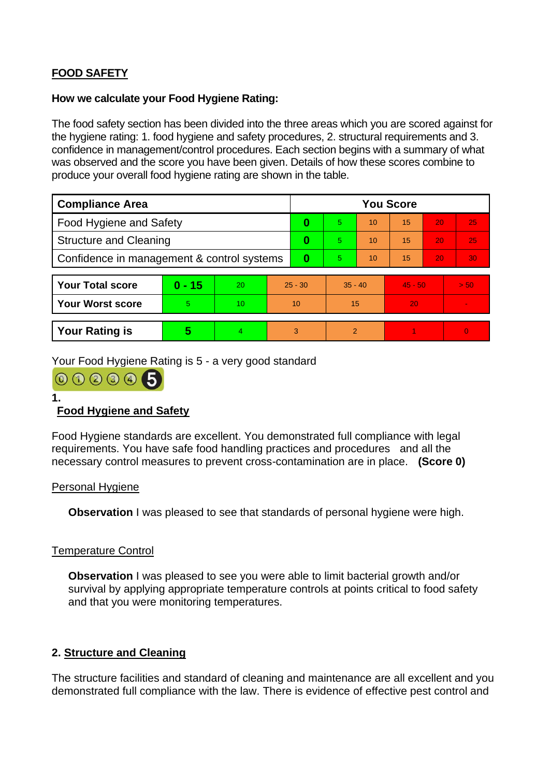# **FOOD SAFETY**

### **How we calculate your Food Hygiene Rating:**

The food safety section has been divided into the three areas which you are scored against for the hygiene rating: 1. food hygiene and safety procedures, 2. structural requirements and 3. confidence in management/control procedures. Each section begins with a summary of what was observed and the score you have been given. Details of how these scores combine to produce your overall food hygiene rating are shown in the table.

| <b>Compliance Area</b>                     |          |    |           | <b>You Score</b> |           |    |           |    |                |  |
|--------------------------------------------|----------|----|-----------|------------------|-----------|----|-----------|----|----------------|--|
| <b>Food Hygiene and Safety</b>             |          |    |           | 0                | 5.        | 10 | 15        | 20 | 25             |  |
| <b>Structure and Cleaning</b>              |          |    | $\bf{0}$  | 5.               | 10        | 15 | 20        | 25 |                |  |
| Confidence in management & control systems |          |    | $\bf{0}$  | 5.               | 10        | 15 | 20        | 30 |                |  |
|                                            |          |    |           |                  |           |    |           |    |                |  |
| <b>Your Total score</b>                    | $0 - 15$ | 20 | $25 - 30$ |                  | $35 - 40$ |    | $45 - 50$ |    | > 50           |  |
| <b>Your Worst score</b>                    | 5        | 10 | 10        |                  | 15        |    | 20        |    |                |  |
|                                            |          |    |           |                  |           |    |           |    |                |  |
| <b>Your Rating is</b>                      | 5        | 4  |           | 3                | 2         |    |           |    | $\overline{0}$ |  |

Your Food Hygiene Rating is 5 - a very good standard

000005

**1.**

# **Food Hygiene and Safety**

Food Hygiene standards are excellent. You demonstrated full compliance with legal requirements. You have safe food handling practices and procedures and all the necessary control measures to prevent cross-contamination are in place. **(Score 0)**

#### Personal Hygiene

**Observation** I was pleased to see that standards of personal hygiene were high.

### Temperature Control

**Observation** I was pleased to see you were able to limit bacterial growth and/or survival by applying appropriate temperature controls at points critical to food safety and that you were monitoring temperatures.

### **2. Structure and Cleaning**

The structure facilities and standard of cleaning and maintenance are all excellent and you demonstrated full compliance with the law. There is evidence of effective pest control and